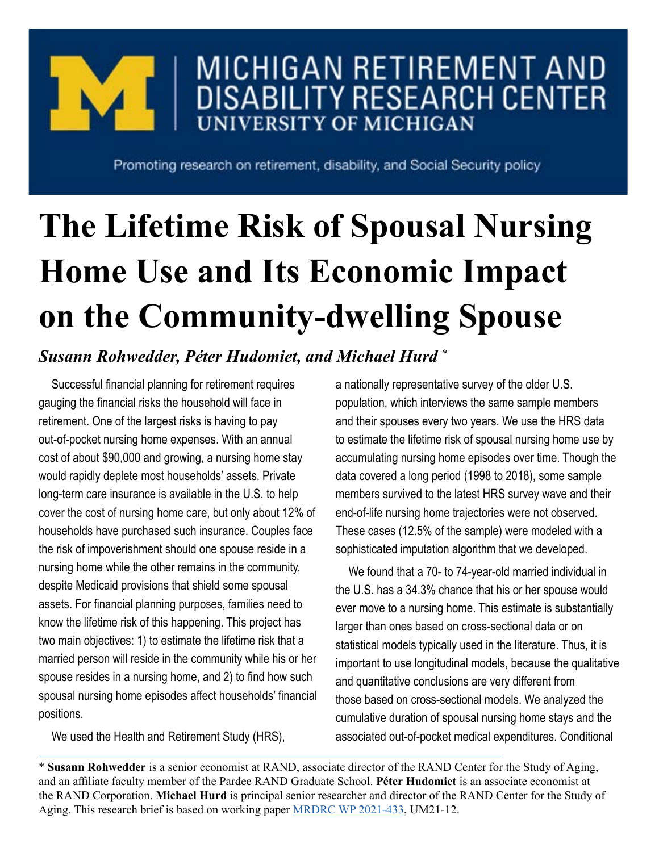

## MICHIGAN RETIREMENT AND **DISABILITY RESEARCH CENTER UNIVERSITY OF MICHIGAN**

Promoting research on retirement, disability, and Social Security policy

## **The Lifetime Risk of Spousal Nursing Home Use and Its Economic Impact on the Community-dwelling Spouse**

## *Susann Rohwedder, Péter Hudomiet, and Michael Hurd \**

Successful financial planning for retirement requires gauging the financial risks the household will face in retirement. One of the largest risks is having to pay out-of-pocket nursing home expenses. With an annual cost of about \$90,000 and growing, a nursing home stay would rapidly deplete most households' assets. Private long-term care insurance is available in the U.S. to help cover the cost of nursing home care, but only about 12% of households have purchased such insurance. Couples face the risk of impoverishment should one spouse reside in a nursing home while the other remains in the community, despite Medicaid provisions that shield some spousal assets. For financial planning purposes, families need to know the lifetime risk of this happening. This project has two main objectives: 1) to estimate the lifetime risk that a married person will reside in the community while his or her spouse resides in a nursing home, and 2) to find how such spousal nursing home episodes affect households' financial positions.

We used the Health and Retirement Study (HRS),

a nationally representative survey of the older U.S. population, which interviews the same sample members and their spouses every two years. We use the HRS data to estimate the lifetime risk of spousal nursing home use by accumulating nursing home episodes over time. Though the data covered a long period (1998 to 2018), some sample members survived to the latest HRS survey wave and their end-of-life nursing home trajectories were not observed. These cases (12.5% of the sample) were modeled with a sophisticated imputation algorithm that we developed.

We found that a 70- to 74-year-old married individual in the U.S. has a 34.3% chance that his or her spouse would ever move to a nursing home. This estimate is substantially larger than ones based on cross-sectional data or on statistical models typically used in the literature. Thus, it is important to use longitudinal models, because the qualitative and quantitative conclusions are very different from those based on cross-sectional models. We analyzed the cumulative duration of spousal nursing home stays and the associated out-of-pocket medical expenditures. Conditional

\* **Susann Rohwedder** is a senior economist at RAND, associate director of the RAND Center for the Study of Aging, and an affiliate faculty member of the Pardee RAND Graduate School. **Péter Hudomiet** is an associate economist at the RAND Corporation. **Michael Hurd** is principal senior researcher and director of the RAND Center for the Study of Aging. This research brief is based on working paper [MRDRC WP 2021-433,](https://mrdrc.isr.umich.edu/pubs/the-lifetime-risk-of-spousal-nursing-home-use-and-its-economic-impact-on-the-community-dwelling-spouse/) UM21-12.